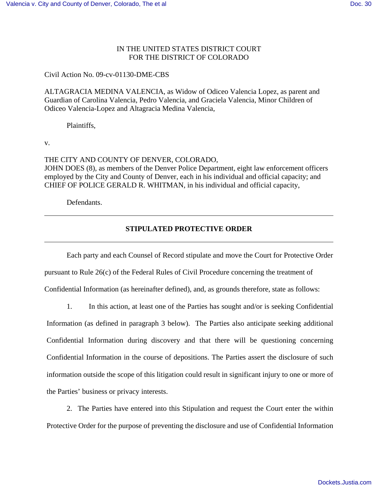# IN THE UNITED STATES DISTRICT COURT FOR THE DISTRICT OF COLORADO

Civil Action No. 09-cv-01130-DME-CBS

ALTAGRACIA MEDINA VALENCIA, as Widow of Odiceo Valencia Lopez, as parent and Guardian of Carolina Valencia, Pedro Valencia, and Graciela Valencia, Minor Children of Odiceo Valencia-Lopez and Altagracia Medina Valencia,

Plaintiffs,

v.

THE CITY AND COUNTY OF DENVER, COLORADO, JOHN DOES (8), as members of the Denver Police Department, eight law enforcement officers employed by the City and County of Denver, each in his individual and official capacity; and CHIEF OF POLICE GERALD R. WHITMAN, in his individual and official capacity,

Defendants.

## **STIPULATED PROTECTIVE ORDER**

Each party and each Counsel of Record stipulate and move the Court for Protective Order pursuant to Rule 26(c) of the Federal Rules of Civil Procedure concerning the treatment of Confidential Information (as hereinafter defined), and, as grounds therefore, state as follows:

1. In this action, at least one of the Parties has sought and/or is seeking Confidential

Information (as defined in paragraph 3 below). The Parties also anticipate seeking additional Confidential Information during discovery and that there will be questioning concerning Confidential Information in the course of depositions. The Parties assert the disclosure of such information outside the scope of this litigation could result in significant injury to one or more of the Parties' business or privacy interests.

2. The Parties have entered into this Stipulation and request the Court enter the within Protective Order for the purpose of preventing the disclosure and use of Confidential Information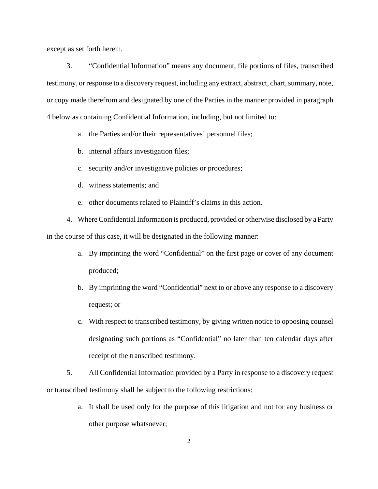except as set forth herein.

3. "Confidential Information" means any document, file portions of files, transcribed testimony, or response to a discovery request, including any extract, abstract, chart, summary, note, or copy made therefrom and designated by one of the Parties in the manner provided in paragraph 4 below as containing Confidential Information, including, but not limited to:

- a. the Parties and/or their representatives' personnel files;
- b. internal affairs investigation files;
- c. security and/or investigative policies or procedures;
- d. witness statements; and
- e. other documents related to Plaintiff's claims in this action.
- 4. Where Confidential Information is produced, provided or otherwise disclosed by a Party in the course of this case, it will be designated in the following manner:
	- a. By imprinting the word "Confidential" on the first page or cover of any document produced;
	- b. By imprinting the word "Confidential" next to or above any response to a discovery request; or
	- c. With respect to transcribed testimony, by giving written notice to opposing counsel designating such portions as "Confidential" no later than ten calendar days after receipt of the transcribed testimony.

5. All Confidential Information provided by a Party in response to a discovery request or transcribed testimony shall be subject to the following restrictions:

> a. It shall be used only for the purpose of this litigation and not for any business or other purpose whatsoever;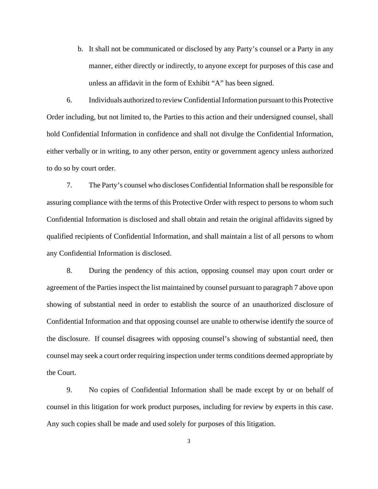b. It shall not be communicated or disclosed by any Party's counsel or a Party in any manner, either directly or indirectly, to anyone except for purposes of this case and unless an affidavit in the form of Exhibit "A" has been signed.

6. Individuals authorized to review Confidential Information pursuant to this Protective Order including, but not limited to, the Parties to this action and their undersigned counsel, shall hold Confidential Information in confidence and shall not divulge the Confidential Information, either verbally or in writing, to any other person, entity or government agency unless authorized to do so by court order.

7. The Party's counsel who discloses Confidential Information shall be responsible for assuring compliance with the terms of this Protective Order with respect to persons to whom such Confidential Information is disclosed and shall obtain and retain the original affidavits signed by qualified recipients of Confidential Information, and shall maintain a list of all persons to whom any Confidential Information is disclosed.

8. During the pendency of this action, opposing counsel may upon court order or agreement of the Parties inspect the list maintained by counsel pursuant to paragraph 7 above upon showing of substantial need in order to establish the source of an unauthorized disclosure of Confidential Information and that opposing counsel are unable to otherwise identify the source of the disclosure. If counsel disagrees with opposing counsel's showing of substantial need, then counsel may seek a court order requiring inspection under terms conditions deemed appropriate by the Court.

9. No copies of Confidential Information shall be made except by or on behalf of counsel in this litigation for work product purposes, including for review by experts in this case. Any such copies shall be made and used solely for purposes of this litigation.

3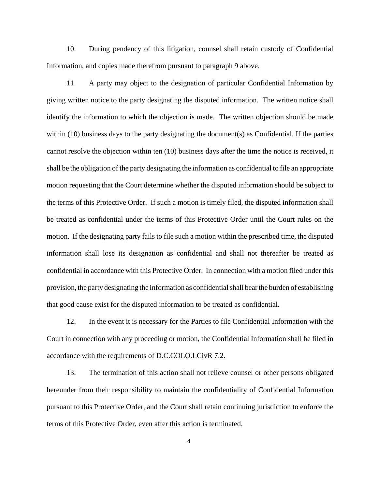10. During pendency of this litigation, counsel shall retain custody of Confidential Information, and copies made therefrom pursuant to paragraph 9 above.

11. A party may object to the designation of particular Confidential Information by giving written notice to the party designating the disputed information. The written notice shall identify the information to which the objection is made. The written objection should be made within (10) business days to the party designating the document(s) as Confidential. If the parties cannot resolve the objection within ten (10) business days after the time the notice is received, it shall be the obligation of the party designating the information as confidential to file an appropriate motion requesting that the Court determine whether the disputed information should be subject to the terms of this Protective Order. If such a motion is timely filed, the disputed information shall be treated as confidential under the terms of this Protective Order until the Court rules on the motion. If the designating party fails to file such a motion within the prescribed time, the disputed information shall lose its designation as confidential and shall not thereafter be treated as confidential in accordance with this Protective Order. In connection with a motion filed under this provision, the party designating the information as confidential shall bear the burden of establishing that good cause exist for the disputed information to be treated as confidential.

12. In the event it is necessary for the Parties to file Confidential Information with the Court in connection with any proceeding or motion, the Confidential Information shall be filed in accordance with the requirements of D.C.COLO.LCivR 7.2.

13. The termination of this action shall not relieve counsel or other persons obligated hereunder from their responsibility to maintain the confidentiality of Confidential Information pursuant to this Protective Order, and the Court shall retain continuing jurisdiction to enforce the terms of this Protective Order, even after this action is terminated.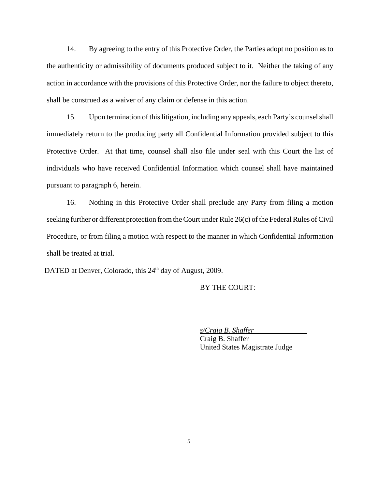14. By agreeing to the entry of this Protective Order, the Parties adopt no position as to the authenticity or admissibility of documents produced subject to it. Neither the taking of any action in accordance with the provisions of this Protective Order, nor the failure to object thereto, shall be construed as a waiver of any claim or defense in this action.

15. Upon termination of this litigation, including any appeals, each Party's counsel shall immediately return to the producing party all Confidential Information provided subject to this Protective Order. At that time, counsel shall also file under seal with this Court the list of individuals who have received Confidential Information which counsel shall have maintained pursuant to paragraph 6, herein.

16. Nothing in this Protective Order shall preclude any Party from filing a motion seeking further or different protection from the Court under Rule 26(c) of the Federal Rules of Civil Procedure, or from filing a motion with respect to the manner in which Confidential Information shall be treated at trial.

DATED at Denver, Colorado, this 24<sup>th</sup> day of August, 2009.

BY THE COURT:

*s/Craig B. Shaffer*

Craig B. Shaffer United States Magistrate Judge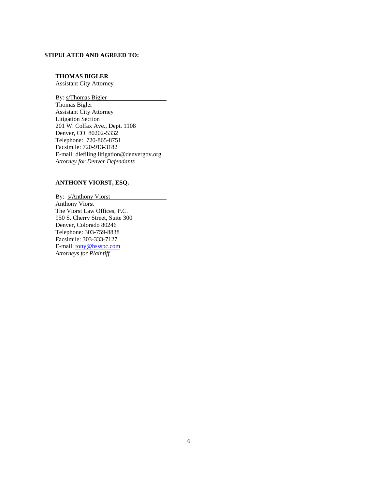#### **STIPULATED AND AGREED TO:**

#### **THOMAS BIGLER**

Assistant City Attorney

By: s/Thomas Bigler Thomas Bigler Assistant City Attorney Litigation Section 201 W. Colfax Ave., Dept. 1108 Denver, CO 80202-5332 Telephone: 720-865-8751 Facsimile: 720-913-3182 E-mail: dlefiling.litigation@denvergov.org *Attorney for Denver Defendants*

### **ANTHONY VIORST, ESQ.**

By: s/Anthony Viorst Anthony Viorst The Viorst Law Offices, P.C. 950 S. Cherry Street, Suite 300 Denver, Colorado 80246 Telephone: 303-759-8838 Facsimile: 303-333-7127 E-mail: tony@hssspc.com *Attorneys for Plaintiff*